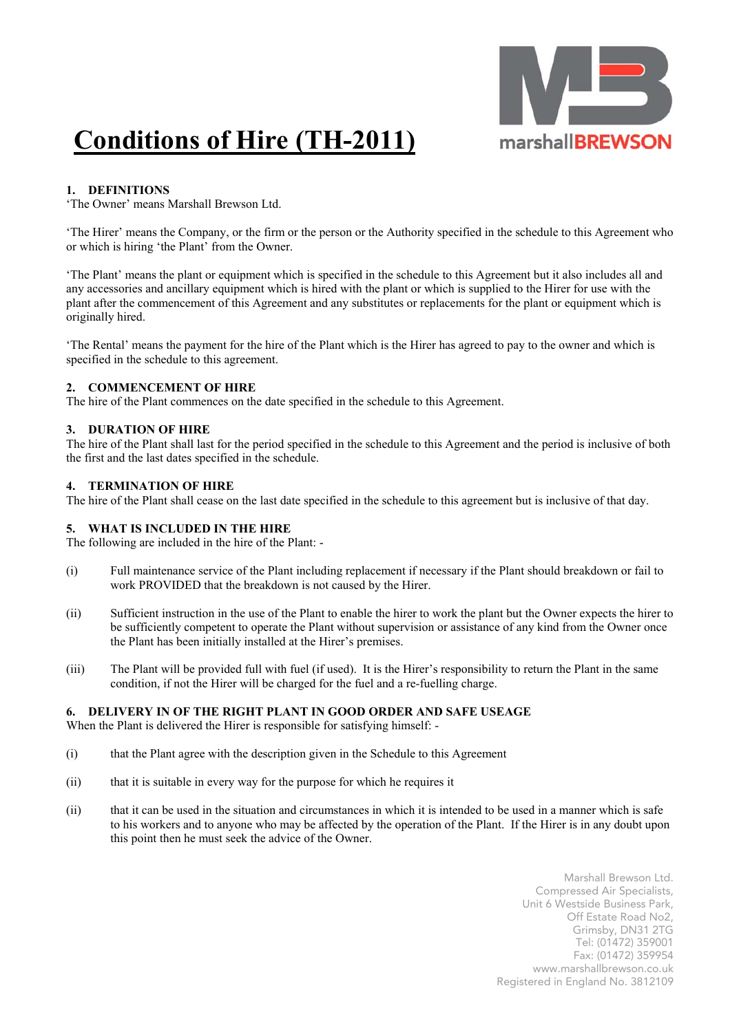

# **Conditions of Hire (TH-2011)**

## **1. DEFINITIONS**

'The Owner' means Marshall Brewson Ltd.

'The Hirer' means the Company, or the firm or the person or the Authority specified in the schedule to this Agreement who or which is hiring 'the Plant' from the Owner.

'The Plant' means the plant or equipment which is specified in the schedule to this Agreement but it also includes all and any accessories and ancillary equipment which is hired with the plant or which is supplied to the Hirer for use with the plant after the commencement of this Agreement and any substitutes or replacements for the plant or equipment which is originally hired.

'The Rental' means the payment for the hire of the Plant which is the Hirer has agreed to pay to the owner and which is specified in the schedule to this agreement.

#### **2. COMMENCEMENT OF HIRE**

The hire of the Plant commences on the date specified in the schedule to this Agreement.

#### **3. DURATION OF HIRE**

The hire of the Plant shall last for the period specified in the schedule to this Agreement and the period is inclusive of both the first and the last dates specified in the schedule.

#### **4. TERMINATION OF HIRE**

The hire of the Plant shall cease on the last date specified in the schedule to this agreement but is inclusive of that day.

#### **5. WHAT IS INCLUDED IN THE HIRE**

The following are included in the hire of the Plant: -

- (i) Full maintenance service of the Plant including replacement if necessary if the Plant should breakdown or fail to work PROVIDED that the breakdown is not caused by the Hirer.
- (ii) Sufficient instruction in the use of the Plant to enable the hirer to work the plant but the Owner expects the hirer to be sufficiently competent to operate the Plant without supervision or assistance of any kind from the Owner once the Plant has been initially installed at the Hirer's premises.
- (iii) The Plant will be provided full with fuel (if used). It is the Hirer's responsibility to return the Plant in the same condition, if not the Hirer will be charged for the fuel and a re-fuelling charge.

#### **6. DELIVERY IN OF THE RIGHT PLANT IN GOOD ORDER AND SAFE USEAGE**

When the Plant is delivered the Hirer is responsible for satisfying himself: -

- (i) that the Plant agree with the description given in the Schedule to this Agreement
- (ii) that it is suitable in every way for the purpose for which he requires it
- (ii) that it can be used in the situation and circumstances in which it is intended to be used in a manner which is safe to his workers and to anyone who may be affected by the operation of the Plant. If the Hirer is in any doubt upon this point then he must seek the advice of the Owner.

Marshall Brewson Ltd. Compressed Air Specialists, Unit 6 Westside Business Park, Off Estate Road No2, Grimsby, DN31 2TG Tel: (01472) 359001 Fax: (01472) 359954 www.marshallbrewson.co.uk Registered in England No. 3812109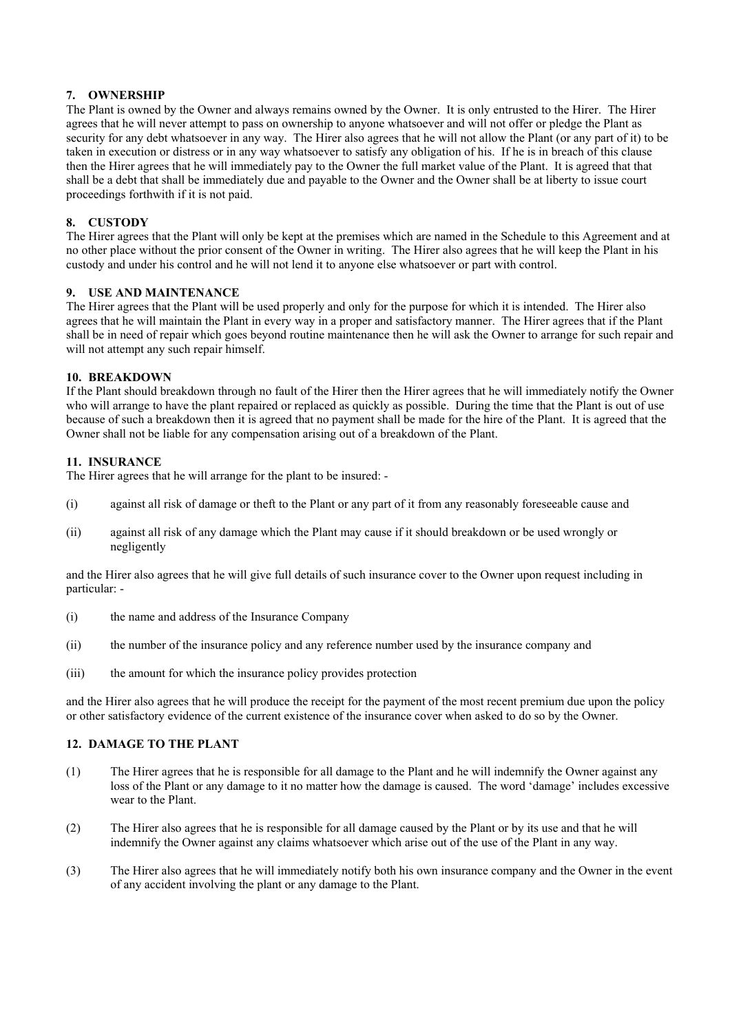#### **7. OWNERSHIP**

The Plant is owned by the Owner and always remains owned by the Owner. It is only entrusted to the Hirer. The Hirer agrees that he will never attempt to pass on ownership to anyone whatsoever and will not offer or pledge the Plant as security for any debt whatsoever in any way. The Hirer also agrees that he will not allow the Plant (or any part of it) to be taken in execution or distress or in any way whatsoever to satisfy any obligation of his. If he is in breach of this clause then the Hirer agrees that he will immediately pay to the Owner the full market value of the Plant. It is agreed that that shall be a debt that shall be immediately due and payable to the Owner and the Owner shall be at liberty to issue court proceedings forthwith if it is not paid.

#### **8. CUSTODY**

The Hirer agrees that the Plant will only be kept at the premises which are named in the Schedule to this Agreement and at no other place without the prior consent of the Owner in writing. The Hirer also agrees that he will keep the Plant in his custody and under his control and he will not lend it to anyone else whatsoever or part with control.

#### **9. USE AND MAINTENANCE**

The Hirer agrees that the Plant will be used properly and only for the purpose for which it is intended. The Hirer also agrees that he will maintain the Plant in every way in a proper and satisfactory manner. The Hirer agrees that if the Plant shall be in need of repair which goes beyond routine maintenance then he will ask the Owner to arrange for such repair and will not attempt any such repair himself.

#### **10. BREAKDOWN**

If the Plant should breakdown through no fault of the Hirer then the Hirer agrees that he will immediately notify the Owner who will arrange to have the plant repaired or replaced as quickly as possible. During the time that the Plant is out of use because of such a breakdown then it is agreed that no payment shall be made for the hire of the Plant. It is agreed that the Owner shall not be liable for any compensation arising out of a breakdown of the Plant.

#### **11. INSURANCE**

The Hirer agrees that he will arrange for the plant to be insured: -

- (i) against all risk of damage or theft to the Plant or any part of it from any reasonably foreseeable cause and
- (ii) against all risk of any damage which the Plant may cause if it should breakdown or be used wrongly or negligently

and the Hirer also agrees that he will give full details of such insurance cover to the Owner upon request including in particular: -

- (i) the name and address of the Insurance Company
- (ii) the number of the insurance policy and any reference number used by the insurance company and
- (iii) the amount for which the insurance policy provides protection

and the Hirer also agrees that he will produce the receipt for the payment of the most recent premium due upon the policy or other satisfactory evidence of the current existence of the insurance cover when asked to do so by the Owner.

## **12. DAMAGE TO THE PLANT**

- (1) The Hirer agrees that he is responsible for all damage to the Plant and he will indemnify the Owner against any loss of the Plant or any damage to it no matter how the damage is caused. The word 'damage' includes excessive wear to the Plant.
- (2) The Hirer also agrees that he is responsible for all damage caused by the Plant or by its use and that he will indemnify the Owner against any claims whatsoever which arise out of the use of the Plant in any way.
- (3) The Hirer also agrees that he will immediately notify both his own insurance company and the Owner in the event of any accident involving the plant or any damage to the Plant.